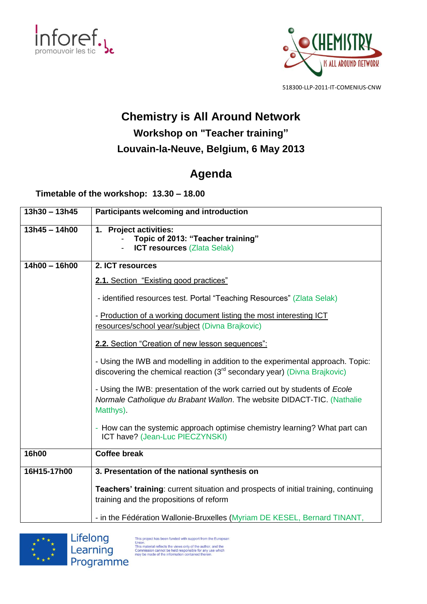



518300-LLP-2011-IT-COMENIUS-CNW

## **Chemistry is All Around Network**

## **Workshop on "Teacher training" Louvain-la-Neuve, Belgium, 6 May 2013**

## **Agenda**

**Timetable of the workshop: 13.30 – 18.00**

| $13h30 - 13h45$ | Participants welcoming and introduction                                                                                                                                |
|-----------------|------------------------------------------------------------------------------------------------------------------------------------------------------------------------|
| $13h45 - 14h00$ | 1. Project activities:<br>Topic of 2013: "Teacher training"<br><b>ICT resources (Zlata Selak)</b>                                                                      |
| $14h00 - 16h00$ | 2. ICT resources                                                                                                                                                       |
|                 | <b>2.1.</b> Section "Existing good practices"                                                                                                                          |
|                 | - identified resources test. Portal "Teaching Resources" (Zlata Selak)                                                                                                 |
|                 | - Production of a working document listing the most interesting ICT<br>resources/school year/subject (Divna Brajkovic)                                                 |
|                 | 2.2. Section "Creation of new lesson sequences":                                                                                                                       |
|                 | - Using the IWB and modelling in addition to the experimental approach. Topic:<br>discovering the chemical reaction (3 <sup>rd</sup> secondary year) (Divna Brajkovic) |
|                 | - Using the IWB: presentation of the work carried out by students of Ecole<br>Normale Catholique du Brabant Wallon. The website DIDACT-TIC. (Nathalie<br>Matthys).     |
|                 | - How can the systemic approach optimise chemistry learning? What part can<br>ICT have? (Jean-Luc PIECZYNSKI)                                                          |
| 16h00           | <b>Coffee break</b>                                                                                                                                                    |
| 16H15-17h00     | 3. Presentation of the national synthesis on                                                                                                                           |
|                 | <b>Teachers' training:</b> current situation and prospects of initial training, continuing<br>training and the propositions of reform                                  |
|                 | - in the Fédération Wallonie-Bruxelles (Myriam DE KESEL, Bernard TINANT,                                                                                               |





This project has been funded with support from the European This material reflects the views only of the authorities Luideau<br>This material reflects the views only of the author, and the<br>Commission cannot be held responsible for any use which<br>may be made of the information contained